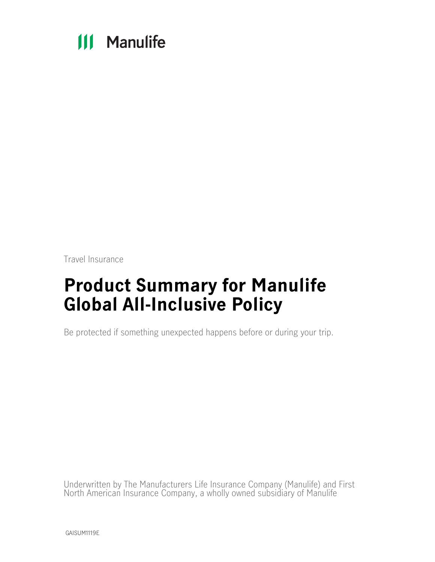# **111 Manulife**

Travel Insurance

# **Product Summary for Manulife Global All-Inclusive Policy**

Be protected if something unexpected happens before or during your trip.

Underwritten by The Manufacturers Life Insurance Company (Manulife) and First North American Insurance Company, a wholly owned subsidiary of Manulife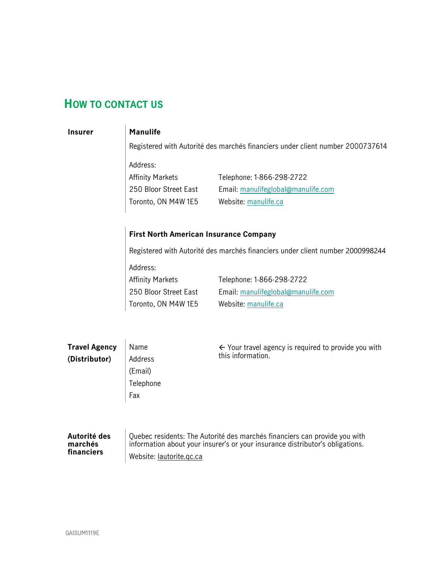## <span id="page-1-0"></span>**HOW TO CONTACT US**

### **Insurer Manulife**

Registered with Autorité des marchés financiers under client number 2000737614

Address: Affinity Markets

250 Bloor Street East Toronto, ON M4W 1E5 Telephone: 1-866-298-2722 Email: manulifeglobal@manulife.com Website: [manulife.ca](http://manulife.ca/)

### **First North American Insurance Company**

Registered with Autorité des marchés financiers under client number 2000998244

Address:

Affinity Markets 250 Bloor Street East Toronto, ON M4W 1E5 Telephone: 1-866-298-2722 Email: manulifeglobal@manulife.com Website: [manulife.ca](http://manulife.ca/)

| <b>Travel Agency</b> | Name      | $\leftarrow$ Your travel agency is required to provide you with<br>this information. |
|----------------------|-----------|--------------------------------------------------------------------------------------|
| (Distributor)        | Address   |                                                                                      |
|                      | (Email)   |                                                                                      |
|                      | Telephone |                                                                                      |
|                      | Fax       |                                                                                      |
|                      |           |                                                                                      |
|                      |           |                                                                                      |
|                      |           |                                                                                      |

#### **Autorité des marchés financiers**

Quebec residents: The Autorité des marchés financiers can provide you with information about your insurer's or your insurance distributor's obligations. Website: [lautorite.qc.ca](https://lautorite.qc.ca/)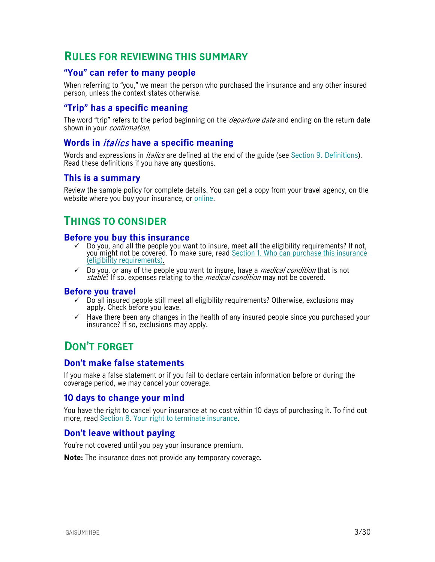## <span id="page-2-0"></span>**RULES FOR REVIEWING THIS SUMMARY**

## <span id="page-2-1"></span>**"You" can refer to many people**

When referring to "you," we mean the person who purchased the insurance and any other insured person, unless the context states otherwise.

## <span id="page-2-2"></span>**"Trip" has a specific meaning**

The word "trip" refers to the period beginning on the *departure date* and ending on the return date shown in your *confirmation*.

## <span id="page-2-3"></span>**Words in** italics **have a specific meaning**

Words and expressions in *italics* are defined at the end of the guide (see Section [9. Definitions\)](#page-27-0). Read these definitions if you have any questions.

### <span id="page-2-4"></span>**This is a summary**

Review the sample policy for complete details. You can get a copy from your travel agency, on the website where you buy your insurance, or [online.](https://www.igoinsured.com/travelcontent/?file=MS-MC_MS-GIN_policyAINC.pdf)

## <span id="page-2-5"></span>**THINGS TO CONSIDER**

### <span id="page-2-6"></span>**Before you buy this insurance**

- Do you, and all the people you want to insure, meet **all** the eligibility requirements? If not, you might not be covered. To make sure, read Section [1. Who can purchase this insurance](#page-5-0)  [\(eligibility requirements\).](#page-5-0)
- $\checkmark$  Do you, or any of the people you want to insure, have a *medical condition* that is not stable? If so, expenses relating to the *medical condition* may not be covered.

#### <span id="page-2-7"></span>**Before you travel**

- $\checkmark$  Do all insured people still meet all eligibility requirements? Otherwise, exclusions may apply. Check before you leave.
- $\checkmark$  Have there been any changes in the health of any insured people since you purchased your insurance? If so, exclusions may apply.

## <span id="page-2-8"></span>**DON'T FORGET**

## <span id="page-2-9"></span>**Don't make false statements**

If you make a false statement or if you fail to declare certain information before or during the coverage period, we may cancel your coverage.

### <span id="page-2-10"></span>**10 days to change your mind**

You have the right to cancel your insurance at no cost within 10 days of purchasing it. To find out more, read [Section 8. Your right to terminate insurance.](#page-26-0)

## <span id="page-2-11"></span>**Don't leave without paying**

You're not covered until you pay your insurance premium.

**Note:** The insurance does not provide any temporary coverage.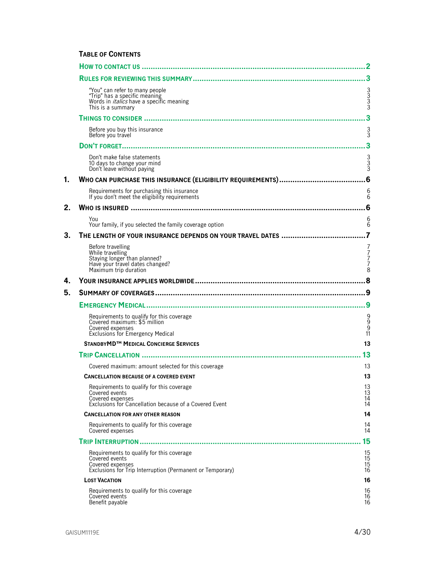## **TABLE OF CONTENTS**

|    | "You" can refer to many people<br>"Trip" has a specific meaning<br>Words in <i>italics</i> have a specific meaning<br>This is a summary      | ვ<br>ვ<br>ვ                                          |
|----|----------------------------------------------------------------------------------------------------------------------------------------------|------------------------------------------------------|
|    |                                                                                                                                              | 3                                                    |
|    | Before you buy this insurance<br>Before you travel                                                                                           | $\frac{3}{3}$                                        |
|    |                                                                                                                                              |                                                      |
|    | Don't make false statements<br>10 days to change your mind<br>Don't leave without paying                                                     | 3<br>3<br>3                                          |
| 1. |                                                                                                                                              |                                                      |
|    | Requirements for purchasing this insurance<br>If you don't meet the eligibility requirements                                                 | 6<br>6                                               |
| 2. |                                                                                                                                              | 6                                                    |
|    | You<br>Your family, if you selected the family coverage option                                                                               | 6<br>6                                               |
| 3. | THE LENGTH OF YOUR INSURANCE DEPENDS ON YOUR TRAVEL DATES                                                                                    |                                                      |
|    | Before travelling<br>While travelling<br>Staying longer than planned?<br>Have your travel dates changed?<br>Maximum trip duration            | 7<br>$\begin{array}{c} 7 \\ 7 \\ 7 \end{array}$<br>8 |
| 4. |                                                                                                                                              |                                                      |
| 5. |                                                                                                                                              |                                                      |
|    |                                                                                                                                              |                                                      |
|    |                                                                                                                                              |                                                      |
|    | Requirements to qualify for this coverage<br>Covered maximum: \$5 million<br>Covered expenses<br>Exclusions for Emergency Medical            | 9<br>9<br>11                                         |
|    | STANDBYMD <sup>™</sup> MEDICAL CONCIERGE SERVICES                                                                                            | 13                                                   |
|    |                                                                                                                                              | 13                                                   |
|    | Covered maximum: amount selected for this coverage                                                                                           | 13                                                   |
|    | <b>CANCELLATION BECAUSE OF A COVERED EVENT</b>                                                                                               | 13                                                   |
|    | Requirements to qualify for this coverage<br>Covered events<br>Covered expenses                                                              | $\begin{array}{c} 13 \\ 13 \end{array}$<br>14<br>14  |
|    | Exclusions for Cancellation because of a Covered Event<br><b>CANCELLATION FOR ANY OTHER REASON</b>                                           | 14                                                   |
|    | Requirements to qualify for this coverage<br>Covered expenses                                                                                | 14<br>14                                             |
|    |                                                                                                                                              | 15                                                   |
|    | Requirements to qualify for this coverage<br>Covered events<br>Covered expenses<br>Exclusions for Trip Interruption (Permanent or Temporary) | 15<br>15<br>15<br>16                                 |
|    | <b>LOST VACATION</b>                                                                                                                         | 16                                                   |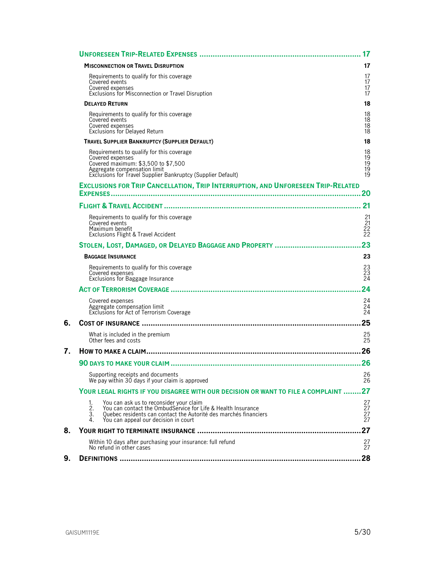|    |                      |                                                                                                                                                                                                                     | 17                                |
|----|----------------------|---------------------------------------------------------------------------------------------------------------------------------------------------------------------------------------------------------------------|-----------------------------------|
|    |                      | <b>MISCONNECTION OR TRAVEL DISRUPTION</b>                                                                                                                                                                           | 17                                |
|    |                      | Requirements to qualify for this coverage<br>Covered events<br>Covered expenses<br>Exclusions for Misconnection or Travel Disruption                                                                                | 17<br>17<br>17<br>17              |
|    |                      | <b>DELAYED RETURN</b>                                                                                                                                                                                               | 18                                |
|    |                      | Requirements to qualify for this coverage<br>Covered events<br>Covered expenses<br><b>Exclusions for Delayed Return</b>                                                                                             | 18<br>18<br>18<br>18              |
|    |                      | TRAVEL SUPPLIER BANKRUPTCY (SUPPLIER DEFAULT)                                                                                                                                                                       | 18                                |
|    |                      | Requirements to qualify for this coverage<br>Covered expenses<br>Covered maximum: \$3,500 to \$7,500<br>Aggregate compensation limit<br>Exclusions for Travel Supplier Bankruptcy (Supplier Default)                | 18<br>19<br>$\frac{19}{19}$<br>19 |
|    |                      | <b>EXCLUSIONS FOR TRIP CANCELLATION, TRIP INTERRUPTION, AND UNFORESEEN TRIP-RELATED</b>                                                                                                                             |                                   |
|    |                      |                                                                                                                                                                                                                     |                                   |
|    |                      |                                                                                                                                                                                                                     | <b>21</b>                         |
|    |                      | Requirements to qualify for this coverage<br>Covered events<br>Maximum benefit<br>Exclusions Flight & Travel Accident                                                                                               | 21<br>21<br>$\frac{22}{22}$       |
|    |                      |                                                                                                                                                                                                                     | 23                                |
|    |                      | <b>BAGGAGE INSURANCE</b>                                                                                                                                                                                            | 23                                |
|    |                      | Requirements to qualify for this coverage<br>Covered expenses<br>Exclusions for Baggage Insurance                                                                                                                   | 23<br>23<br>24                    |
|    |                      |                                                                                                                                                                                                                     | 24                                |
|    |                      | Covered expenses<br>Aggregate compensation limit<br>Exclusions for Act of Terrorism Coverage                                                                                                                        | 24<br>24<br>24                    |
| 6. |                      |                                                                                                                                                                                                                     | 25                                |
|    |                      | What is included in the premium<br>Other fees and costs                                                                                                                                                             | 25<br>$\overline{25}$             |
| 7. |                      |                                                                                                                                                                                                                     | 26                                |
|    |                      |                                                                                                                                                                                                                     |                                   |
|    |                      | Supporting receipts and documents<br>We pay within 30 days if your claim is approved                                                                                                                                | 26<br>26                          |
|    |                      | YOUR LEGAL RIGHTS IF YOU DISAGREE WITH OUR DECISION OR WANT TO FILE A COMPLAINT                                                                                                                                     | 27                                |
|    | 1.<br>2.<br>3.<br>4. | You can ask us to reconsider your claim<br>You can contact the OmbudService for Life & Health Insurance<br>Quebec residents can contact the Autorité des marchés financiers<br>You can appeal our decision in court | 27<br>27<br>27<br>27              |
| 8. |                      |                                                                                                                                                                                                                     | 27                                |
|    |                      | Within 10 days after purchasing your insurance: full refund<br>No refund in other cases                                                                                                                             | 27<br>27                          |
| 9. |                      |                                                                                                                                                                                                                     | 28                                |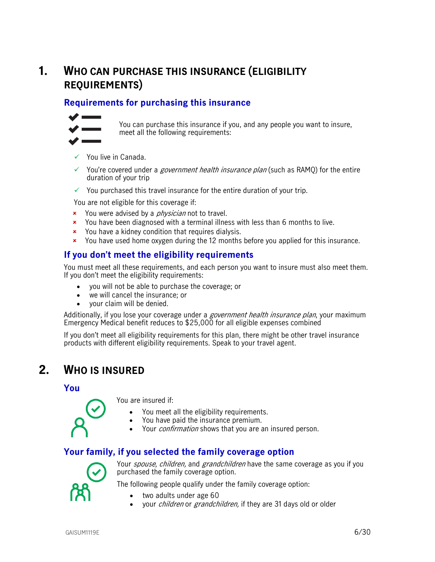## <span id="page-5-0"></span>**1. WHO CAN PURCHASE THIS INSURANCE (ELIGIBILITY REQUIREMENTS)**

## <span id="page-5-1"></span>**Requirements for purchasing this insurance**



You can purchase this insurance if you, and any people you want to insure, meet all the following requirements:

- $\checkmark$  You live in Canada
- $\checkmark$  You're covered under a *government health insurance plan* (such as RAMQ) for the entire duration of your trip
- $\checkmark$  You purchased this travel insurance for the entire duration of your trip.

You are not eligible for this coverage if:

- **x** You were advised by a *physician* not to travel.
- **x** You have been diagnosed with a terminal illness with less than 6 months to live.
- You have a kidney condition that requires dialysis.
- You have used home oxygen during the 12 months before you applied for this insurance.

## <span id="page-5-2"></span>**If you don't meet the eligibility requirements**

You must meet all these requirements, and each person you want to insure must also meet them. If you don't meet the eligibility requirements:

- you will not be able to purchase the coverage; or
- we will cancel the insurance; or
- your claim will be denied.

Additionally, if you lose your coverage under a *government health insurance plan*, your maximum Emergency Medical benefit reduces to \$25,000 for all eligible expenses combined

<span id="page-5-3"></span>If you don't meet all eligibility requirements for this plan, there might be other travel insurance products with different eligibility requirements. Speak to your travel agent.

## **2. WHO IS INSURED**

<span id="page-5-4"></span>**You**



You are insured if:

- You meet all the eligibility requirements.
- You have paid the insurance premium.
- Your *confirmation* shows that you are an insured person.

## <span id="page-5-5"></span>**Your family, if you selected the family coverage option**



Your *spouse, children,* and *grandchildren* have the same coverage as you if you purchased the family coverage option.

The following people qualify under the family coverage option:

- two adults under age 60
- your *children* or *grandchildren*, if they are 31 days old or older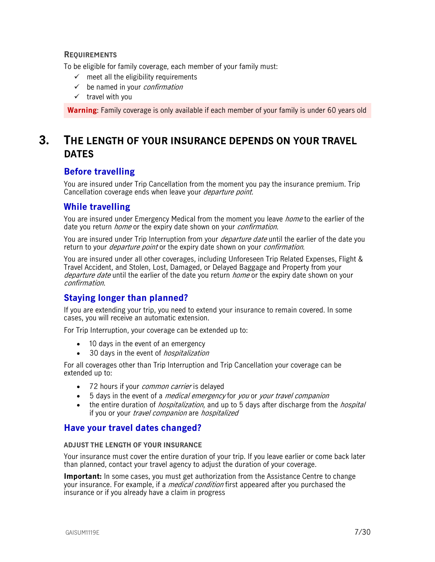### **REQUIREMENTS**

To be eligible for family coverage, each member of your family must:

- $\checkmark$  meet all the eligibility requirements
- $\checkmark$  be named in your *confirmation*
- $\checkmark$  travel with you

<span id="page-6-0"></span>**Warning**: Family coverage is only available if each member of your family is under 60 years old

## **3. THE LENGTH OF YOUR INSURANCE DEPENDS ON YOUR TRAVEL DATES**

## <span id="page-6-1"></span>**Before travelling**

You are insured under Trip Cancellation from the moment you pay the insurance premium. Trip Cancellation coverage ends when leave your *departure point*.

## <span id="page-6-2"></span>**While travelling**

You are insured under Emergency Medical from the moment you leave *home* to the earlier of the date you return *home* or the expiry date shown on your *confirmation*.

You are insured under Trip Interruption from your *departure date* until the earlier of the date you return to your *departure point* or the expiry date shown on your *confirmation*.

You are insured under all other coverages, including Unforeseen Trip Related Expenses, Flight & Travel Accident, and Stolen, Lost, Damaged, or Delayed Baggage and Property from your departure date until the earlier of the date you return *home* or the expiry date shown on your confirmation.

## <span id="page-6-3"></span>**Staying longer than planned?**

If you are extending your trip, you need to extend your insurance to remain covered. In some cases, you will receive an automatic extension.

For Trip Interruption, your coverage can be extended up to:

- 10 days in the event of an emergency
- 30 days in the event of *hospitalization*

For all coverages other than Trip Interruption and Trip Cancellation your coverage can be extended up to:

- 72 hours if your *common carrier* is delayed
- 5 days in the event of a *medical emergency* for you or your travel companion
- the entire duration of *hospitalization*, and up to 5 days after discharge from the *hospital* if you or your *travel companion* are *hospitalized*

## <span id="page-6-4"></span>**Have your travel dates changed?**

#### **ADJUST THE LENGTH OF YOUR INSURANCE**

Your insurance must cover the entire duration of your trip. If you leave earlier or come back later than planned, contact your travel agency to adjust the duration of your coverage.

**Important:** In some cases, you must get authorization from the Assistance Centre to change your insurance. For example, if a *medical condition* first appeared after you purchased the insurance or if you already have a claim in progress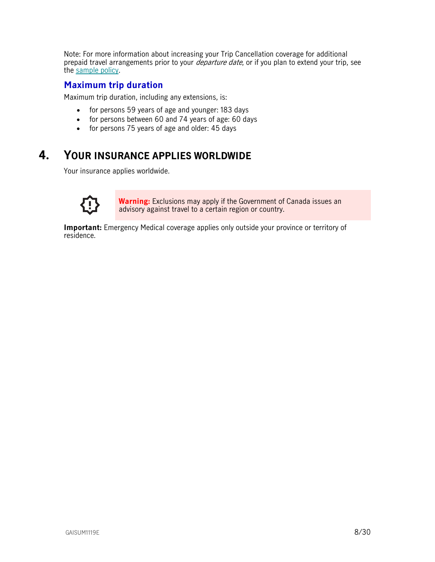Note: For more information about increasing your Trip Cancellation coverage for additional prepaid travel arrangements prior to your *departure date*, or if you plan to extend your trip, see the [sample policy.](https://www.igoinsured.com/travelcontent/?file=MS-MC_MS-GIN_policyAINC.pdf)

## <span id="page-7-0"></span>**Maximum trip duration**

Maximum trip duration, including any extensions, is:

- for persons 59 years of age and younger: 183 days
- for persons between 60 and 74 years of age: 60 days
- <span id="page-7-1"></span>• for persons 75 years of age and older: 45 days

## **4. YOUR INSURANCE APPLIES WORLDWIDE**

Your insurance applies worldwide.



**Warning:** Exclusions may apply if the Government of Canada issues an advisory against travel to a certain region or country.

**Important:** Emergency Medical coverage applies only outside your province or territory of residence.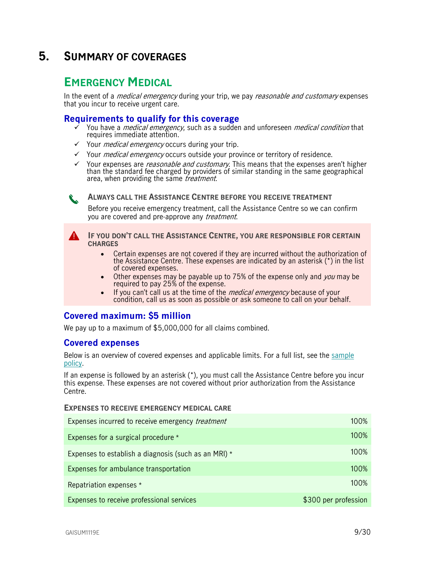## <span id="page-8-0"></span>**5. SUMMARY OF COVERAGES**

## <span id="page-8-1"></span>**EMERGENCY MEDICAL**

In the event of a *medical emergency* during your trip, we pay *reasonable and customary* expenses that you incur to receive urgent care.

## <span id="page-8-2"></span>**Requirements to qualify for this coverage**

- You have a *medical emergency*, such as a sudden and unforeseen *medical condition* that requires immediate attention.
- $\checkmark$  Your *medical emergency* occurs during your trip.
- $\checkmark$  Your *medical emergency* occurs outside your province or territory of residence.
- $\checkmark$  Your expenses are *reasonable and customary*. This means that the expenses aren't higher than the standard fee charged by providers of similar standing in the same geographical area, when providing the same *treatment*.

**ALWAYS CALL THE ASSISTANCE CENTRE BEFORE YOU RECEIVE TREATMENT**

Before you receive emergency treatment, call the Assistance Centre so we can confirm you are covered and pre-approve any *treatment*.

**IF YOU DON'T CALL THE ASSISTANCE CENTRE, YOU ARE RESPONSIBLE FOR CERTAIN CHARGES** 

- Certain expenses are not covered if they are incurred without the authorization of the Assistance Centre. These expenses are indicated by an asterisk (\*) in the list of covered expenses.
- Other expenses may be payable up to 75% of the expense only and you may be required to pay 25% of the expense.
- If you can't call us at the time of the *medical emergency* because of your condition, call us as soon as possible or ask someone to call on your behalf.

## <span id="page-8-3"></span>**Covered maximum: \$5 million**

We pay up to a maximum of \$5,000,000 for all claims combined.

### <span id="page-8-4"></span>**Covered expenses**

Below is an overview of covered expenses and applicable limits. For a full list, see the [sample](https://www.igoinsured.com/travelcontent/?file=MS-MC_MS-GIN_policyAINC.pdf)  [policy.](https://www.igoinsured.com/travelcontent/?file=MS-MC_MS-GIN_policyAINC.pdf)

If an expense is followed by an asterisk (\*), you must call the Assistance Centre before you incur this expense. These expenses are not covered without prior authorization from the Assistance Centre.

#### **EXPENSES TO RECEIVE EMERGENCY MEDICAL CARE**

| Expenses incurred to receive emergency <i>treatment</i> | 100%                 |
|---------------------------------------------------------|----------------------|
| Expenses for a surgical procedure *                     | 100%                 |
| Expenses to establish a diagnosis (such as an MRI) *    | 100%                 |
| Expenses for ambulance transportation                   | 100%                 |
| Repatriation expenses *                                 | 100%                 |
| Expenses to receive professional services               | \$300 per profession |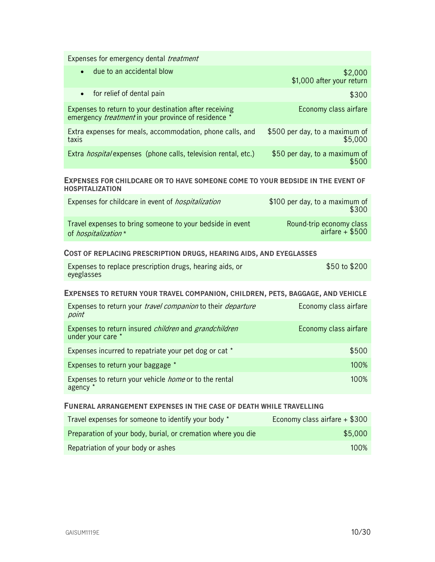Expenses for emergency dental *treatment* 

| due to an accidental blow<br>$\bullet$                                                                               | \$2,000<br>\$1,000 after your return      |
|----------------------------------------------------------------------------------------------------------------------|-------------------------------------------|
| • for relief of dental pain                                                                                          | \$300                                     |
| Expenses to return to your destination after receiving<br>emergency <i>treatment</i> in your province of residence * | Economy class airfare                     |
| Extra expenses for meals, accommodation, phone calls, and<br>taxis                                                   | \$500 per day, to a maximum of<br>\$5,000 |
| Extra <i>hospital</i> expenses (phone calls, television rental, etc.)                                                | \$50 per day, to a maximum of             |

#### **EXPENSES FOR CHILDCARE OR TO HAVE SOMEONE COME TO YOUR BEDSIDE IN THE EVENT OF HOSPITALIZATION**

| Expenses for childcare in event of <i>hospitalization</i> | \$100 per day, to a maximum of<br>\$300 |
|-----------------------------------------------------------|-----------------------------------------|
| Travel expenses to bring someone to your bedside in event | Round-trip economy class                |
| of <i>hospitalization</i> *                               | airfare $+$ \$500                       |

#### **COST OF REPLACING PRESCRIPTION DRUGS, HEARING AIDS, AND EYEGLASSES**

| Expenses to replace prescription drugs, hearing aids, or | \$50 to \$200 |
|----------------------------------------------------------|---------------|
| eyeglasses                                               |               |

#### **EXPENSES TO RETURN YOUR TRAVEL COMPANION, CHILDREN, PETS, BAGGAGE, AND VEHICLE**

| Expenses to return your <i>travel companion</i> to their <i>departure</i><br>point       | Economy class airfare |
|------------------------------------------------------------------------------------------|-----------------------|
| Expenses to return insured <i>children</i> and <i>grandchildren</i><br>under your care * | Economy class airfare |
| Expenses incurred to repatriate your pet dog or cat *                                    | \$500                 |
| Expenses to return your baggage *                                                        | 100%                  |
| Expenses to return your vehicle <i>home</i> or to the rental<br>agency *                 | $100\%$               |

#### **FUNERAL ARRANGEMENT EXPENSES IN THE CASE OF DEATH WHILE TRAVELLING**

| Travel expenses for someone to identify your body *          | Economy class airfare + \$300 |
|--------------------------------------------------------------|-------------------------------|
| Preparation of your body, burial, or cremation where you die | \$5,000                       |
| Repatriation of your body or ashes                           | 100%                          |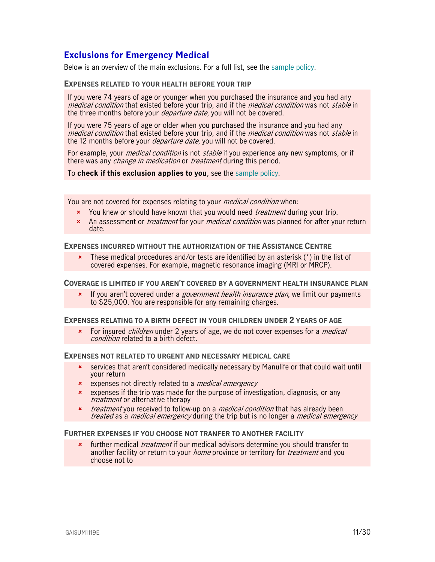## <span id="page-10-0"></span>**Exclusions for Emergency Medical**

Below is an overview of the main exclusions. For a full list, see the [sample policy.](https://www.igoinsured.com/travelcontent/?file=MS-MC_MS-GIN_policyAINC.pdf)

#### **EXPENSES RELATED TO YOUR HEALTH BEFORE YOUR TRIP**

If you were 74 years of age or younger when you purchased the insurance and you had any medical condition that existed before your trip, and if the *medical condition* was not *stable* in the three months before your *departure date*, you will not be covered.

If you were 75 years of age or older when you purchased the insurance and you had any medical condition that existed before your trip, and if the *medical condition* was not *stable* in the 12 months before your *departure date*, you will not be covered.

For example, your *medical condition* is not *stable* if you experience any new symptoms, or if there was any *change in medication* or *treatment* during this period.

To **check if this exclusion applies to you**, see the [sample policy.](https://www.igoinsured.com/travelcontent/?file=MS-MC_MS-GIN_policyAINC.pdf)

You are not covered for expenses relating to your *medical condition* when:

- **x** You knew or should have known that you would need *treatment* during your trip.
- An assessment or *treatment* for your *medical condition* was planned for after your return date.

#### **EXPENSES INCURRED WITHOUT THE AUTHORIZATION OF THE ASSISTANCE CENTRE**

**\*** These medical procedures and/or tests are identified by an asterisk  $(*)$  in the list of covered expenses. For example, magnetic resonance imaging (MRI or MRCP).

#### **COVERAGE IS LIMITED IF YOU AREN'T COVERED BY A GOVERNMENT HEALTH INSURANCE PLAN**

If you aren't covered under a *government health insurance plan*, we limit our payments to \$25,000. You are responsible for any remaining charges.

#### **EXPENSES RELATING TO A BIRTH DEFECT IN YOUR CHILDREN UNDER 2 YEARS OF AGE**

For insured *children* under 2 years of age, we do not cover expenses for a *medical* condition related to a birth defect.

#### **EXPENSES NOT RELATED TO URGENT AND NECESSARY MEDICAL CARE**

- services that aren't considered medically necessary by Manulife or that could wait until your return
- **\*** expenses not directly related to a *medical emergency*
- **\*** expenses if the trip was made for the purpose of investigation, diagnosis, or any treatment or alternative therapy
- **x** *treatment* you received to follow-up on a *medical condition* that has already been treated as a *medical emergency* during the trip but is no longer a *medical emergency*

#### **FURTHER EXPENSES IF YOU CHOOSE NOT TRANFER TO ANOTHER FACILITY**

further medical *treatment* if our medical advisors determine you should transfer to another facility or return to your *home* province or territory for *treatment* and you choose not to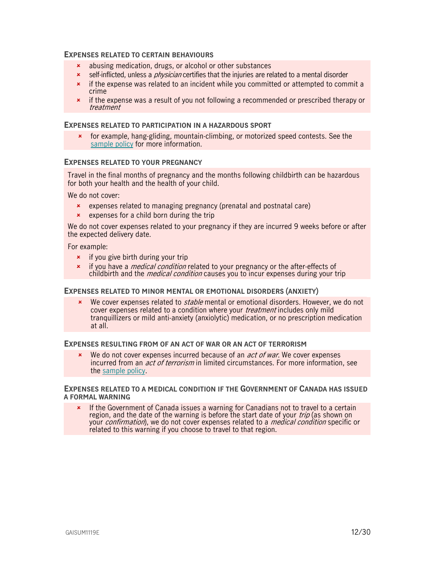#### **EXPENSES RELATED TO CERTAIN BEHAVIOURS**

- abusing medication, drugs, or alcohol or other substances
- **x** self-inflicted, unless a *physician* certifies that the injuries are related to a mental disorder
- $\star$  if the expense was related to an incident while you committed or attempted to commit a crime
- **\*** if the expense was a result of you not following a recommended or prescribed therapy or treatment

#### **EXPENSES RELATED TO PARTICIPATION IN A HAZARDOUS SPORT**

 for example, hang-gliding, mountain-climbing, or motorized speed contests. See the [sample policy](https://www.igoinsured.com/travelcontent/?file=MS-MC_MS-GIN_policyAINC.pdf) for more information.

#### **EXPENSES RELATED TO YOUR PREGNANCY**

Travel in the final months of pregnancy and the months following childbirth can be hazardous for both your health and the health of your child.

We do not cover:

- expenses related to managing pregnancy (prenatal and postnatal care)
- $\star$  expenses for a child born during the trip

We do not cover expenses related to your pregnancy if they are incurred 9 weeks before or after the expected delivery date.

For example:

- $\star$  if you give birth during your trip
- **\*** if you have a *medical condition* related to your pregnancy or the after-effects of childbirth and the *medical condition* causes you to incur expenses during your trip

#### **EXPENSES RELATED TO MINOR MENTAL OR EMOTIONAL DISORDERS (ANXIETY)**

 $\star$  We cover expenses related to *stable* mental or emotional disorders. However, we do not cover expenses related to a condition where your *treatment* includes only mild tranquillizers or mild anti-anxiety (anxiolytic) medication, or no prescription medication at all.

#### **EXPENSES RESULTING FROM OF AN ACT OF WAR OR AN ACT OF TERRORISM**

 $\cdot$  We do not cover expenses incurred because of an *act of war*. We cover expenses incurred from an *act of terrorism* in limited circumstances. For more information, see the [sample policy.](https://www.igoinsured.com/travelcontent/?file=MS-MC_MS-GIN_policyAINC.pdf)

#### **EXPENSES RELATED TO A MEDICAL CONDITION IF THE GOVERNMENT OF CANADA HAS ISSUED A FORMAL WARNING**

\* If the Government of Canada issues a warning for Canadians not to travel to a certain region, and the date of the warning is before the start date of your *trip* (as shown on your confirmation), we do not cover expenses related to a medical condition specific or related to this warning if you choose to travel to that region.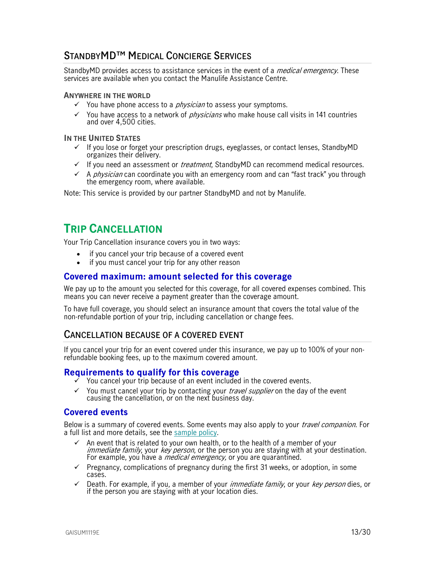## <span id="page-12-0"></span>**STANDBYMD™ MEDICAL CONCIERGE SERVICES**

StandbyMD provides access to assistance services in the event of a *medical emergency*. These services are available when you contact the Manulife Assistance Centre.

#### **ANYWHERE IN THE WORLD**

- $\checkmark$  You have phone access to a *physician* to assess your symptoms.
- $\checkmark$  You have access to a network of *physicians* who make house call visits in 141 countries and over 4,500 cities.

#### **IN THE UNITED STATES**

- If you lose or forget your prescription drugs, eyeglasses, or contact lenses, StandbyMD organizes their delivery.
- $\checkmark$  If you need an assessment or *treatment*, StandbyMD can recommend medical resources.
- $\checkmark$  A *physician* can coordinate you with an emergency room and can "fast track" you through the emergency room, where available.

<span id="page-12-1"></span>Note: This service is provided by our partner StandbyMD and not by Manulife.

## **TRIP CANCELLATION**

Your Trip Cancellation insurance covers you in two ways:

- if you cancel your trip because of a covered event
- if you must cancel your trip for any other reason

### <span id="page-12-2"></span>**Covered maximum: amount selected for this coverage**

We pay up to the amount you selected for this coverage, for all covered expenses combined. This means you can never receive a payment greater than the coverage amount.

To have full coverage, you should select an insurance amount that covers the total value of the non-refundable portion of your trip, including cancellation or change fees.

## <span id="page-12-3"></span>**CANCELLATION BECAUSE OF A COVERED EVENT**

If you cancel your trip for an event covered under this insurance, we pay up to 100% of your nonrefundable booking fees, up to the maximum covered amount.

### <span id="page-12-4"></span>**Requirements to qualify for this coverage**

- You cancel your trip because of an event included in the covered events.
- $\checkmark$  You must cancel your trip by contacting your *travel supplier* on the day of the event causing the cancellation, or on the next business day.

### <span id="page-12-5"></span>**Covered events**

Below is a summary of covered events. Some events may also apply to your *travel companion*. For a full list and more details, see the [sample policy.](https://www.igoinsured.com/travelcontent/?file=MS-MC_MS-GIN_policyAINC.pdf)

- An event that is related to your own health, or to the health of a member of your immediate family, your key person, or the person you are staying with at your destination. For example, you have a *medical emergency*, or you are quarantined.
- $\checkmark$  Pregnancy, complications of pregnancy during the first 31 weeks, or adoption, in some cases.
- $\checkmark$  Death. For example, if you, a member of your *immediate family*, or your *key person* dies, or if the person you are staying with at your location dies.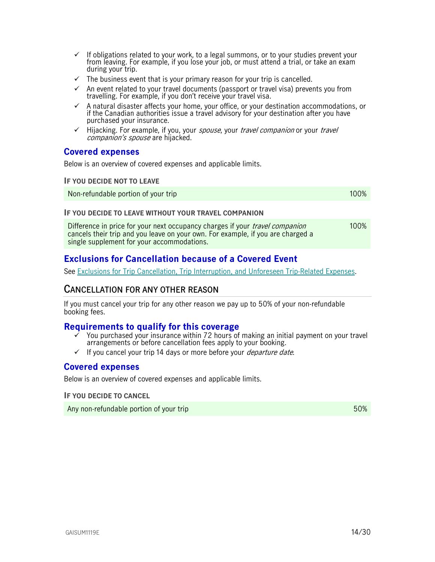- $\checkmark$  If obligations related to your work, to a legal summons, or to your studies prevent your from leaving. For example, if you lose your job, or must attend a trial, or take an exam during your trip.
- $\checkmark$  The business event that is your primary reason for your trip is cancelled.
- $\checkmark$  An event related to your travel documents (passport or travel visa) prevents you from travelling. For example, if you don't receive your travel visa.
- $\checkmark$  A natural disaster affects your home, your office, or your destination accommodations, or if the Canadian authorities issue a travel advisory for your destination after you have purchased your insurance.
- $\checkmark$  Hijacking. For example, if you, your spouse, your travel companion or your travel companion's spouse are hijacked.

### <span id="page-13-0"></span>**Covered expenses**

Below is an overview of covered expenses and applicable limits.

#### **IF YOU DECIDE NOT TO LEAVE**

Non-refundable portion of your trip 100% and the state of the state of the 100% of the 100% of the 100% of the  $100\%$ 

#### **IF YOU DECIDE TO LEAVE WITHOUT YOUR TRAVEL COMPANION**

Difference in price for your next occupancy charges if your *travel companion* cancels their trip and you leave on your own. For example, if you are charged a single supplement for your accommodations. 100%

## <span id="page-13-1"></span>**Exclusions for Cancellation because of a Covered Event**

See [Exclusions for Trip Cancellation, Trip Interruption, and Unforeseen Trip-Related Expenses.](#page-19-0)

## <span id="page-13-2"></span>**CANCELLATION FOR ANY OTHER REASON**

If you must cancel your trip for any other reason we pay up to 50% of your non-refundable booking fees.

### <span id="page-13-3"></span>**Requirements to qualify for this coverage**

- You purchased your insurance within 72 hours of making an initial payment on your travel arrangements or before cancellation fees apply to your booking.
- $\checkmark$  If you cancel your trip 14 days or more before your *departure date.*

### <span id="page-13-4"></span>**Covered expenses**

Below is an overview of covered expenses and applicable limits.

**IF YOU DECIDE TO CANCEL**

Any non-refundable portion of your trip 50% and the state of the state  $50\%$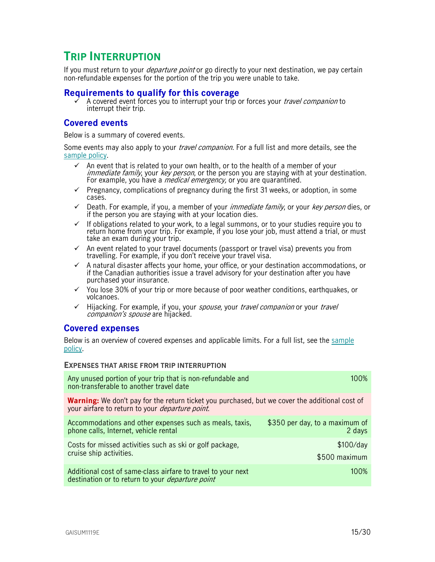## <span id="page-14-0"></span>**TRIP INTERRUPTION**

If you must return to your *departure point* or go directly to your next destination, we pay certain non-refundable expenses for the portion of the trip you were unable to take.

### <span id="page-14-1"></span>**Requirements to qualify for this coverage**

A covered event forces you to interrupt your trip or forces your *travel companion* to interrupt their trip.

## <span id="page-14-2"></span>**Covered events**

Below is a summary of covered events.

Some events may also apply to your *travel companion*. For a full list and more details, see the [sample policy.](https://www.igoinsured.com/travelcontent/?file=MS-MC_MS-GIN_policyAINC.pdf)

- An event that is related to your own health, or to the health of a member of your immediate family, your key person, or the person you are staying with at your destination. For example, you have a *medical emergency*, or you are quarantined.
- $\checkmark$  Pregnancy, complications of pregnancy during the first 31 weeks, or adoption, in some cases.
- $\checkmark$  Death. For example, if you, a member of your *immediate family*, or your *key person* dies, or if the person you are staying with at your location dies.
- $\checkmark$  If obligations related to your work, to a legal summons, or to your studies require you to return home from your trip. For example, if you lose your job, must attend a trial, or must take an exam during your trip.
- $\checkmark$  An event related to your travel documents (passport or travel visa) prevents you from travelling. For example, if you don't receive your travel visa.
- $\checkmark$  A natural disaster affects your home, your office, or your destination accommodations, or if the Canadian authorities issue a travel advisory for your destination after you have purchased your insurance.
- $\checkmark$  You lose 30% of your trip or more because of poor weather conditions, earthquakes, or volcanoes.
- $\checkmark$  Hijacking. For example, if you, your *spouse*, your *travel companion* or your *travel* companion's spouse are hijacked.

### <span id="page-14-3"></span>**Covered expenses**

Below is an overview of covered expenses and applicable limits. For a full list, see the [sample](https://www.igoinsured.com/travelcontent/?file=MS-MC_MS-GIN_policyAINC.pdf)  [policy.](https://www.igoinsured.com/travelcontent/?file=MS-MC_MS-GIN_policyAINC.pdf)

#### **EXPENSES THAT ARISE FROM TRIP INTERRUPTION**

| Any unused portion of your trip that is non-refundable and<br>non-transferable to another travel date                                                            | 100%                                     |
|------------------------------------------------------------------------------------------------------------------------------------------------------------------|------------------------------------------|
| <b>Warning:</b> We don't pay for the return ticket you purchased, but we cover the additional cost of<br>your airfare to return to your <i>departure point</i> . |                                          |
| Accommodations and other expenses such as meals, taxis,<br>phone calls, Internet, vehicle rental                                                                 | \$350 per day, to a maximum of<br>2 days |
| Costs for missed activities such as ski or golf package,<br>cruise ship activities.                                                                              | \$100/day<br>\$500 maximum               |
| Additional cost of same-class airfare to travel to your next<br>destination or to return to your <i>departure point</i>                                          | 100%                                     |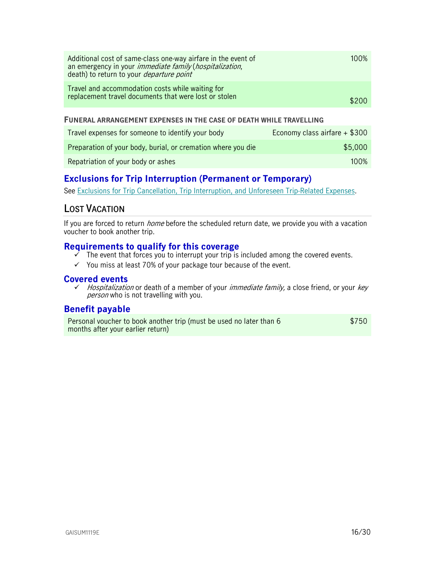| Additional cost of same-class one-way airfare in the event of<br>an emergency in your <i>immediate family</i> ( <i>hospitalization</i> ,<br>death) to return to your <i>departure point</i> | 100%  |
|---------------------------------------------------------------------------------------------------------------------------------------------------------------------------------------------|-------|
| Travel and accommodation costs while waiting for<br>replacement travel documents that were lost or stolen                                                                                   | \$200 |
|                                                                                                                                                                                             |       |

#### **FUNERAL ARRANGEMENT EXPENSES IN THE CASE OF DEATH WHILE TRAVELLING**

| Travel expenses for someone to identify your body            | Economy class airfare + \$300 |
|--------------------------------------------------------------|-------------------------------|
| Preparation of your body, burial, or cremation where you die | \$5.000                       |
| Repatriation of your body or ashes                           | 100%                          |

## <span id="page-15-0"></span>**Exclusions for Trip Interruption (Permanent or Temporary)**

See [Exclusions for Trip Cancellation, Trip Interruption, and Unforeseen Trip-Related Expenses.](#page-19-0)

## <span id="page-15-1"></span>**LOST VACATION**

If you are forced to return *home* before the scheduled return date, we provide you with a vacation voucher to book another trip.

## <span id="page-15-2"></span>**Requirements to qualify for this coverage**

- The event that forces you to interrupt your trip is included among the covered events.
- $\checkmark$  You miss at least 70% of your package tour because of the event.

### <span id="page-15-3"></span>**Covered events**

 $\checkmark$  Hospitalization or death of a member of your *immediate family*, a close friend, or your *key* person who is not travelling with you.

## <span id="page-15-4"></span>**Benefit payable**

Personal voucher to book another trip (must be used no later than 6 months after your earlier return) \$750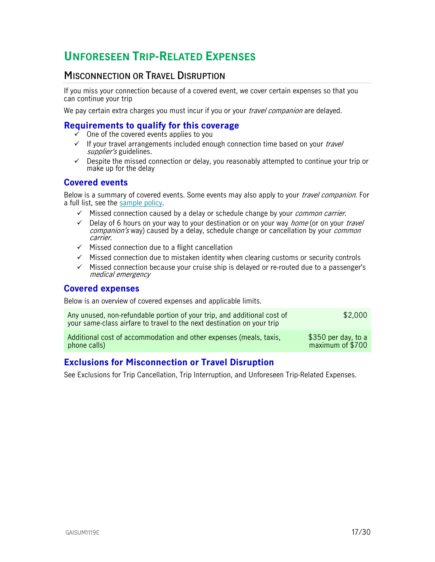## <span id="page-16-0"></span>**UNFORESEEN TRIP-RELATED EXPENSES**

## <span id="page-16-1"></span>**MISCONNECTION OR TRAVEL DISRUPTION**

If you miss your connection because of a covered event, we cover certain expenses so that you can continue your trip

We pay certain extra charges you must incur if you or your *travel companion* are delayed.

## <span id="page-16-2"></span>**Requirements to qualify for this coverage**

- $\checkmark$  One of the covered events applies to you
- $\checkmark$  If your travel arrangements included enough connection time based on your *travel* supplier's guidelines.
- $\checkmark$  Despite the missed connection or delay, you reasonably attempted to continue your trip or make up for the delay

## <span id="page-16-3"></span>**Covered events**

Below is a summary of covered events. Some events may also apply to your *travel companion*. For a full list, see the [sample policy.](https://www.igoinsured.com/travelcontent/?file=TC_AIYI_policyYAI.pdf)

- $\checkmark$  Missed connection caused by a delay or schedule change by your *common carrier*.
- $\checkmark$  Delay of 6 hours on your way to your destination or on your way *home* (or on your *travel* companion's way) caused by a delay, schedule change or cancellation by your *common* carrier.
- $\checkmark$  Missed connection due to a flight cancellation
- $\checkmark$  Missed connection due to mistaken identity when clearing customs or security controls
- $\checkmark$  Missed connection because your cruise ship is delayed or re-routed due to a passenger's medical emergency

### <span id="page-16-4"></span>**Covered expenses**

Below is an overview of covered expenses and applicable limits.

| Any unused, non-refundable portion of your trip, and additional cost of<br>your same-class airfare to travel to the next destination on your trip | \$2,000             |
|---------------------------------------------------------------------------------------------------------------------------------------------------|---------------------|
| Additional cost of accommodation and other expenses (meals, taxis,                                                                                | \$350 per day, to a |
| phone calls)                                                                                                                                      | maximum of \$700    |

## <span id="page-16-5"></span>**Exclusions for Misconnection or Travel Disruption**

See Exclusions for Trip Cancellation, Trip Interruption, and Unforeseen Trip-Related Expenses.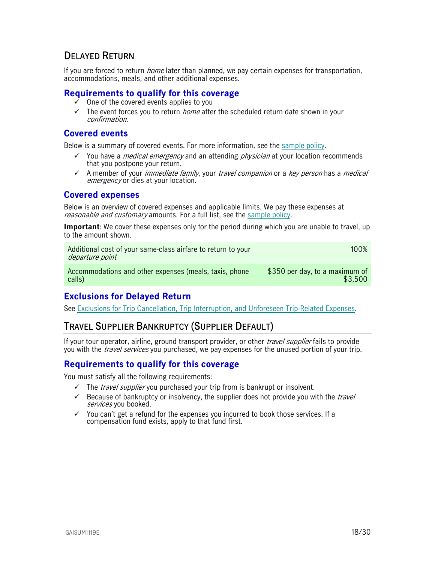## <span id="page-17-0"></span>**DELAYED RETURN**

If you are forced to return *home* later than planned, we pay certain expenses for transportation, accommodations, meals, and other additional expenses.

### <span id="page-17-1"></span>**Requirements to qualify for this coverage**

- One of the covered events applies to you
- $\checkmark$  The event forces you to return *home* after the scheduled return date shown in your confirmation.

### <span id="page-17-2"></span>**Covered events**

Below is a summary of covered events. For more information, see the [sample policy.](https://www.igoinsured.com/travelcontent/?file=MS-MC_MS-GIN_policyAINC.pdf)

- You have a *medical emergency* and an attending *physician* at your location recommends that you postpone your return.
- $\checkmark$  A member of your *immediate family*, your *travel companion* or a *key person* has a *medical* emergency or dies at your location.

#### <span id="page-17-3"></span>**Covered expenses**

Below is an overview of covered expenses and applicable limits. We pay these expenses at reasonable and customary amounts. For a full list, see the [sample policy.](https://www.igoinsured.com/travelcontent/?file=MS-MC_MS-GIN_policyAINC.pdf)

**Important**: We cover these expenses only for the period during which you are unable to travel, up to the amount shown.

| Additional cost of your same-class airfare to return to your<br>departure point | $100\%$                                      |
|---------------------------------------------------------------------------------|----------------------------------------------|
| Accommodations and other expenses (meals, taxis, phone                          | $\frac{1}{2}$ \$350 per day, to a maximum of |
| calls)                                                                          | \$3.500                                      |

## <span id="page-17-4"></span>**Exclusions for Delayed Return**

See [Exclusions for Trip Cancellation, Trip Interruption, and Unforeseen Trip-Related Expenses.](#page-19-0)

## <span id="page-17-5"></span>**TRAVEL SUPPLIER BANKRUPTCY (SUPPLIER DEFAULT)**

If your tour operator, airline, ground transport provider, or other *travel supplier* fails to provide you with the *travel services* you purchased, we pay expenses for the unused portion of your trip.

## <span id="page-17-6"></span>**Requirements to qualify for this coverage**

You must satisfy all the following requirements:

- $\checkmark$  The *travel supplier* you purchased your trip from is bankrupt or insolvent.
- $\checkmark$  Because of bankruptcy or insolvency, the supplier does not provide you with the *travel* services you booked.
- $\checkmark$  You can't get a refund for the expenses you incurred to book those services. If a compensation fund exists, apply to that fund first.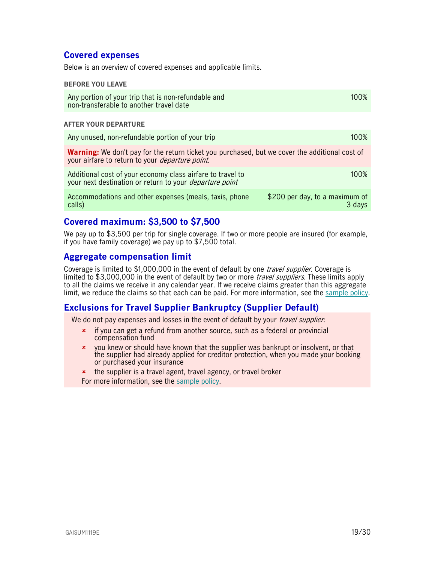## <span id="page-18-0"></span>**Covered expenses**

Below is an overview of covered expenses and applicable limits.

#### **BEFORE YOU LEAVE**

| Any portion of your trip that is non-refundable and | 100% |
|-----------------------------------------------------|------|
| non-transferable to another travel date             |      |

#### **AFTER YOUR DEPARTURE**

| Any unused, non-refundable portion of your trip                                                                                                                  | 100%                                     |
|------------------------------------------------------------------------------------------------------------------------------------------------------------------|------------------------------------------|
| <b>Warning:</b> We don't pay for the return ticket you purchased, but we cover the additional cost of<br>your airfare to return to your <i>departure point</i> . |                                          |
| Additional cost of your economy class airfare to travel to<br>your next destination or return to your <i>departure point</i>                                     | $100\%$                                  |
| Accommodations and other expenses (meals, taxis, phone<br>calls)                                                                                                 | \$200 per day, to a maximum of<br>3 days |

## <span id="page-18-1"></span>**Covered maximum: \$3,500 to \$7,500**

We pay up to \$3,500 per trip for single coverage. If two or more people are insured (for example, if you have family coverage) we pay up to \$7,500 total.

### <span id="page-18-2"></span>**Aggregate compensation limit**

Coverage is limited to \$1,000,000 in the event of default by one *travel supplier*. Coverage is limited to \$3,000,000 in the event of default by two or more *travel suppliers*. These limits apply to all the claims we receive in any calendar year. If we receive claims greater than this aggregate limit, we reduce the claims so that each can be paid. For more information, see the [sample policy.](https://www.igoinsured.com/travelcontent/?file=MS-MC_MS-GIN_policyAINC.pdf)

## <span id="page-18-3"></span>**Exclusions for Travel Supplier Bankruptcy (Supplier Default)**

We do not pay expenses and losses in the event of default by your *travel supplier*:

- **\*** if you can get a refund from another source, such as a federal or provincial compensation fund
- you knew or should have known that the supplier was bankrupt or insolvent, or that the supplier had already applied for creditor protection, when you made your booking or purchased your insurance
- **\*** the supplier is a travel agent, travel agency, or travel broker For more information, see the [sample policy.](https://www.igoinsured.com/travelcontent/?file=MS-MC_MS-GIN_policyAINC.pdf)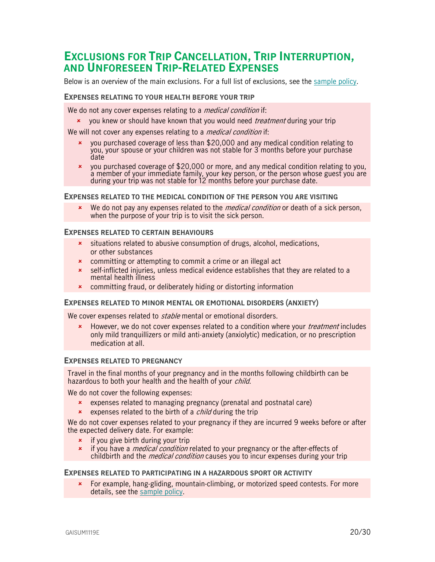## <span id="page-19-0"></span>**EXCLUSIONS FOR TRIP CANCELLATION, TRIP INTERRUPTION, AND UNFORESEEN TRIP-RELATED EXPENSES**

Below is an overview of the main exclusions. For a full list of exclusions, see the [sample policy.](https://www.igoinsured.com/travelcontent/?file=MS-MC_MS-GIN_policyAINC.pdf)

#### **EXPENSES RELATING TO YOUR HEALTH BEFORE YOUR TRIP**

We do not any cover expenses relating to a *medical condition* if:

**x** you knew or should have known that you would need *treatment* during your trip

We will not cover any expenses relating to a *medical condition* if:

- you purchased coverage of less than \$20,000 and any medical condition relating to you, your spouse or your children was not stable for 3 months before your purchase date
- $\star$  you purchased coverage of \$20,000 or more, and any medical condition relating to you, a member of your immediate family, your key person, or the person whose guest you are during your trip was not stable for 12 months before your purchase date.

#### **EXPENSES RELATED TO THE MEDICAL CONDITION OF THE PERSON YOU ARE VISITING**

We do not pay any expenses related to the *medical condition* or death of a sick person, when the purpose of your trip is to visit the sick person.

#### **EXPENSES RELATED TO CERTAIN BEHAVIOURS**

- situations related to abusive consumption of drugs, alcohol, medications, or other substances
- **\*** committing or attempting to commit a crime or an illegal act
- \* self-inflicted injuries, unless medical evidence establishes that they are related to a mental health illness
- committing fraud, or deliberately hiding or distorting information

#### **EXPENSES RELATED TO MINOR MENTAL OR EMOTIONAL DISORDERS (ANXIETY)**

We cover expenses related to *stable* mental or emotional disorders.

**EXECT** However, we do not cover expenses related to a condition where your *treatment* includes only mild tranquillizers or mild anti-anxiety (anxiolytic) medication, or no prescription medication at all.

#### **EXPENSES RELATED TO PREGNANCY**

Travel in the final months of your pregnancy and in the months following childbirth can be hazardous to both your health and the health of your *child*.

We do not cover the following expenses:

- expenses related to managing pregnancy (prenatal and postnatal care)
- $\star$  expenses related to the birth of a *child* during the trip

We do not cover expenses related to your pregnancy if they are incurred 9 weeks before or after the expected delivery date. For example:

- $\frac{1}{\epsilon}$  if you give birth during your trip
- \* if you have a *medical condition* related to your pregnancy or the after-effects of childbirth and the *medical condition* causes you to incur expenses during your trip

#### **EXPENSES RELATED TO PARTICIPATING IN A HAZARDOUS SPORT OR ACTIVITY**

\* For example, hang-gliding, mountain-climbing, or motorized speed contests. For more details, see the [sample policy.](https://www.igoinsured.com/travelcontent/?file=MS-MC_MS-GIN_policyAINC.pdf)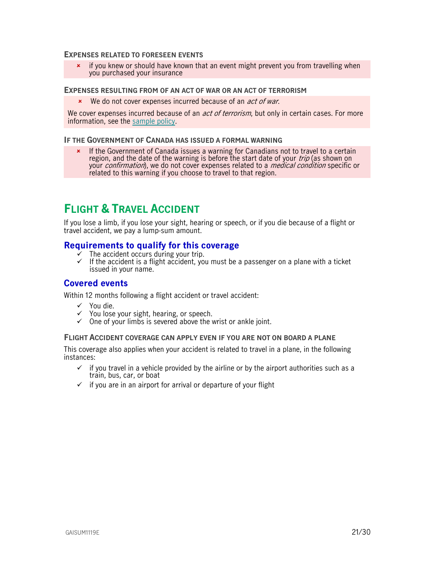#### **EXPENSES RELATED TO FORESEEN EVENTS**

 $\star$  if you knew or should have known that an event might prevent you from travelling when you purchased your insurance

#### **EXPENSES RESULTING FROM OF AN ACT OF WAR OR AN ACT OF TERRORISM**

**x** We do not cover expenses incurred because of an *act of war*.

We cover expenses incurred because of an *act of terrorism*, but only in certain cases. For more information, see the [sample policy.](https://www.igoinsured.com/travelcontent/?file=MS-MC_MS-GIN_policyAINC.pdf)

#### **IF THE GOVERNMENT OF CANADA HAS ISSUED A FORMAL WARNING**

**\*** If the Government of Canada issues a warning for Canadians not to travel to a certain region, and the date of the warning is before the start date of your trip (as shown on your *confirmation*), we do not cover expenses related to a *medical condition* specific or related to this warning if you choose to travel to that region.

## <span id="page-20-0"></span>**FLIGHT & TRAVEL ACCIDENT**

If you lose a limb, if you lose your sight, hearing or speech, or if you die because of a flight or travel accident, we pay a lump-sum amount.

### <span id="page-20-1"></span>**Requirements to qualify for this coverage**

- $\dot{\mathcal{F}}$  The accident occurs during your trip.
- $\checkmark$  If the accident is a flight accident, you must be a passenger on a plane with a ticket issued in your name.

### <span id="page-20-2"></span>**Covered events**

Within 12 months following a flight accident or travel accident:

- $\checkmark$  You die.
- $\checkmark$  You lose your sight, hearing, or speech.
- $\checkmark$  One of your limbs is severed above the wrist or ankle joint.

#### **FLIGHT ACCIDENT COVERAGE CAN APPLY EVEN IF YOU ARE NOT ON BOARD A PLANE**

This coverage also applies when your accident is related to travel in a plane, in the following instances:

- $\checkmark$  if you travel in a vehicle provided by the airline or by the airport authorities such as a train, bus, car, or boat
- $\checkmark$  if you are in an airport for arrival or departure of your flight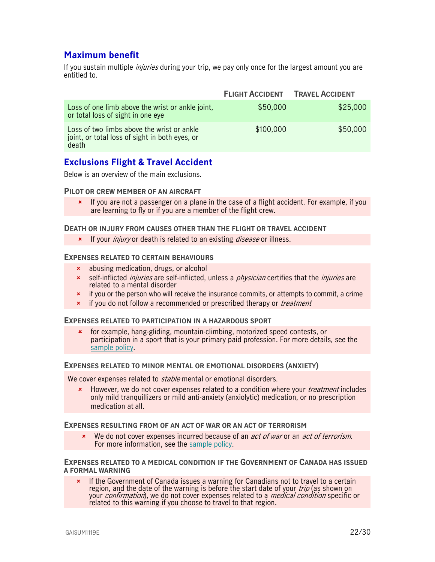## <span id="page-21-0"></span>**Maximum benefit**

If you sustain multiple *injuries* during your trip, we pay only once for the largest amount you are entitled to.

|                                                                                                       | <b>FLIGHT ACCIDENT</b> | <b>TRAVEL ACCIDENT</b> |
|-------------------------------------------------------------------------------------------------------|------------------------|------------------------|
| Loss of one limb above the wrist or ankle joint,<br>or total loss of sight in one eye                 | \$50,000               | \$25,000               |
| Loss of two limbs above the wrist or ankle<br>joint, or total loss of sight in both eyes, or<br>death | \$100,000              | \$50,000               |

## <span id="page-21-1"></span>**Exclusions Flight & Travel Accident**

Below is an overview of the main exclusions.

#### **PILOT OR CREW MEMBER OF AN AIRCRAFT**

 If you are not a passenger on a plane in the case of a flight accident. For example, if you are learning to fly or if you are a member of the flight crew.

#### **DEATH OR INJURY FROM CAUSES OTHER THAN THE FLIGHT OR TRAVEL ACCIDENT**

**x** If your *injury* or death is related to an existing *disease* or illness.

#### **EXPENSES RELATED TO CERTAIN BEHAVIOURS**

- abusing medication, drugs, or alcohol
- **x** self-inflicted *injuries* are self-inflicted, unless a *physician* certifies that the *injuries* are related to a mental disorder
- $\star$  if you or the person who will receive the insurance commits, or attempts to commit, a crime
- **\*** if you do not follow a recommended or prescribed therapy or *treatment*

#### **EXPENSES RELATED TO PARTICIPATION IN A HAZARDOUS SPORT**

 for example, hang-gliding, mountain-climbing, motorized speed contests, or participation in a sport that is your primary paid profession. For more details, see the [sample policy.](https://www.igoinsured.com/travelcontent/?file=MS-MC_MS-GIN_policyAINC.pdf)

#### **EXPENSES RELATED TO MINOR MENTAL OR EMOTIONAL DISORDERS (ANXIETY)**

We cover expenses related to *stable* mental or emotional disorders.

**EXECT** However, we do not cover expenses related to a condition where your *treatment* includes only mild tranquillizers or mild anti-anxiety (anxiolytic) medication, or no prescription medication at all.

#### **EXPENSES RESULTING FROM OF AN ACT OF WAR OR AN ACT OF TERRORISM**

We do not cover expenses incurred because of an *act of war* or an *act of terrorism*. For more information, see the [sample policy.](https://www.igoinsured.com/travelcontent/?file=MS-MC_MS-GIN_policyAINC.pdf)

#### **EXPENSES RELATED TO A MEDICAL CONDITION IF THE GOVERNMENT OF CANADA HAS ISSUED A FORMAL WARNING**

**\*** If the Government of Canada issues a warning for Canadians not to travel to a certain region, and the date of the warning is before the start date of your *trip* (as shown on your *confirmation*), we do not cover expenses related to a *medical condition* specific or related to this warning if you choose to travel to that region.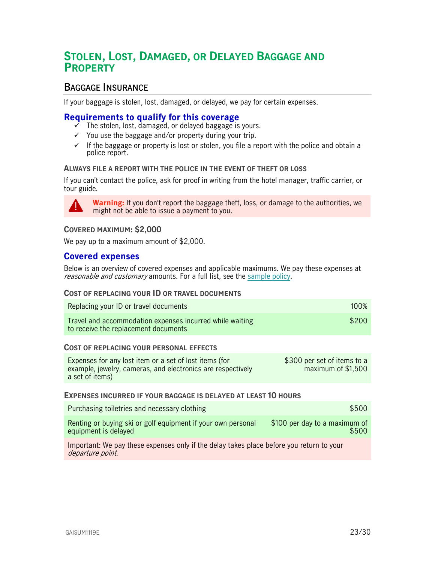## <span id="page-22-0"></span>**STOLEN, LOST, DAMAGED, OR DELAYED BAGGAGE AND PROPERTY**

## <span id="page-22-1"></span>**BAGGAGE INSURANCE**

If your baggage is stolen, lost, damaged, or delayed, we pay for certain expenses.

### <span id="page-22-2"></span>**Requirements to qualify for this coverage**

- The stolen, lost, damaged, or delayed baggage is yours.
- $\checkmark$  You use the baggage and/or property during your trip.
- $\checkmark$  If the baggage or property is lost or stolen, you file a report with the police and obtain a police report.

#### **ALWAYS FILE A REPORT WITH THE POLICE IN THE EVENT OF THEFT OR LOSS**

If you can't contact the police, ask for proof in writing from the hotel manager, traffic carrier, or tour guide.



**Warning:** If you don't report the baggage theft, loss, or damage to the authorities, we might not be able to issue a payment to you.

#### **COVERED MAXIMUM: \$2,000**

We pay up to a maximum amount of \$2,000.

### <span id="page-22-3"></span>**Covered expenses**

Below is an overview of covered expenses and applicable maximums. We pay these expenses at reasonable and customary amounts. For a full list, see the [sample policy.](https://www.igoinsured.com/travelcontent/?file=MS-MC_MS-GIN_policyAINC.pdf)

#### **COST OF REPLACING YOUR ID OR TRAVEL DOCUMENTS**

| Replacing your ID or travel documents                                                            | 100%  |
|--------------------------------------------------------------------------------------------------|-------|
| Travel and accommodation expenses incurred while waiting<br>to receive the replacement documents | \$200 |

#### **COST OF REPLACING YOUR PERSONAL EFFECTS**

| Expenses for any lost item or a set of lost items (for      | \$300 per set of items to a |
|-------------------------------------------------------------|-----------------------------|
| example, jewelry, cameras, and electronics are respectively | maximum of \$1,500          |
| a set of items)                                             |                             |

#### **EXPENSES INCURRED IF YOUR BAGGAGE IS DELAYED AT LEAST 10 HOURS**

| Purchasing toiletries and necessary clothing                 | \$500                         |
|--------------------------------------------------------------|-------------------------------|
| Renting or buying ski or golf equipment if your own personal | \$100 per day to a maximum of |
| equipment is delayed                                         | \$500                         |

Important: We pay these expenses only if the delay takes place before you return to your departure point.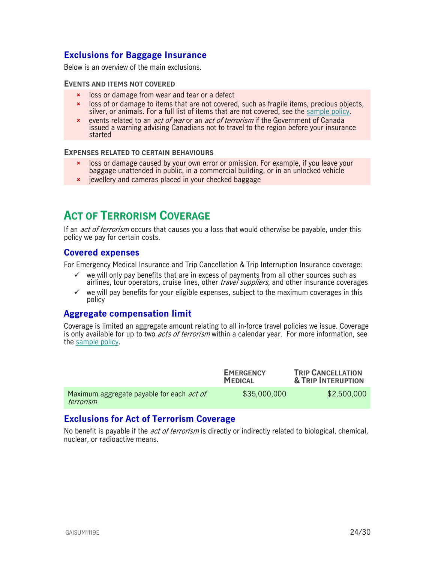## <span id="page-23-0"></span>**Exclusions for Baggage Insurance**

Below is an overview of the main exclusions.

#### **EVENTS AND ITEMS NOT COVERED**

- **x** loss or damage from wear and tear or a defect
- loss of or damage to items that are not covered, such as fragile items, precious objects, silver, or animals. For a full list of items that are not covered, see the [sample policy.](https://www.igoinsured.com/travelcontent/?file=MS-MC_MS-GIN_policyAINC.pdf)
- **EXECUTE:** events related to an *act of war* or an *act of terrorism* if the Government of Canada issued a warning advising Canadians not to travel to the region before your insurance started

#### **EXPENSES RELATED TO CERTAIN BEHAVIOURS**

- loss or damage caused by your own error or omission. For example, if you leave your baggage unattended in public, in a commercial building, or in an unlocked vehicle
- <span id="page-23-1"></span>**\*** jewellery and cameras placed in your checked baggage

## **ACT OF TERRORISM COVERAGE**

If an *act of terrorism* occurs that causes you a loss that would otherwise be payable, under this policy we pay for certain costs.

### <span id="page-23-2"></span>**Covered expenses**

For Emergency Medical Insurance and Trip Cancellation & Trip Interruption Insurance coverage:

- $\checkmark$  we will only pay benefits that are in excess of payments from all other sources such as airlines, tour operators, cruise lines, other *travel suppliers*, and other insurance coverages
- $\checkmark$  we will pay benefits for your eligible expenses, subject to the maximum coverages in this policy

## <span id="page-23-3"></span>**Aggregate compensation limit**

Coverage is limited an aggregate amount relating to all in-force travel policies we issue. Coverage is only available for up to two *acts of terrorism* within a calendar year. For more information, see the [sample policy.](https://www.igoinsured.com/travelcontent/?file=MS-MC_MS-GIN_policyAINC.pdf)

|                                                               | <b>EMERGENCY</b><br><b>MEDICAL</b> | <b>TRIP CANCELLATION</b><br>& TRIP INTERUPTION |
|---------------------------------------------------------------|------------------------------------|------------------------------------------------|
| Maximum aggregate payable for each <i>act of</i><br>terrorism | \$35,000,000                       | \$2,500,000                                    |

## <span id="page-23-4"></span>**Exclusions for Act of Terrorism Coverage**

No benefit is payable if the *act of terrorism* is directly or indirectly related to biological, chemical, nuclear, or radioactive means.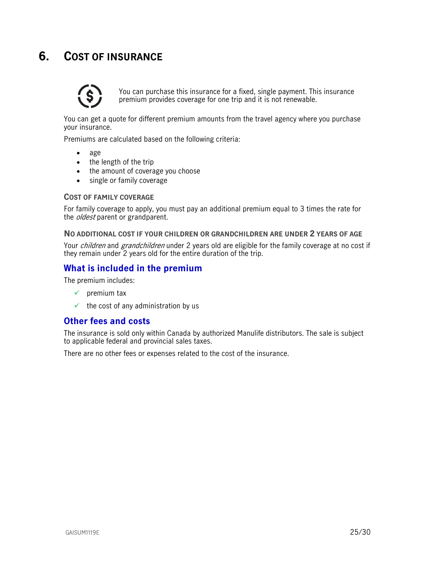## <span id="page-24-0"></span>**6. COST OF INSURANCE**



You can purchase this insurance for a fixed, single payment. This insurance premium provides coverage for one trip and it is not renewable.

You can get a quote for different premium amounts from the travel agency where you purchase your insurance.

Premiums are calculated based on the following criteria:

- age
- the length of the trip
- the amount of coverage you choose
- single or family coverage

#### **COST OF FAMILY COVERAGE**

For family coverage to apply, you must pay an additional premium equal to 3 times the rate for the *oldest* parent or grandparent.

#### **NO ADDITIONAL COST IF YOUR CHILDREN OR GRANDCHILDREN ARE UNDER 2 YEARS OF AGE**

Your *children* and *grandchildren* under 2 years old are eligible for the family coverage at no cost if they remain under 2 years old for the entire duration of the trip.

### <span id="page-24-1"></span>**What is included in the premium**

The premium includes:

- $\checkmark$  premium tax
- $\checkmark$  the cost of any administration by us

## <span id="page-24-2"></span>**Other fees and costs**

The insurance is sold only within Canada by authorized Manulife distributors. The sale is subject to applicable federal and provincial sales taxes.

There are no other fees or expenses related to the cost of the insurance.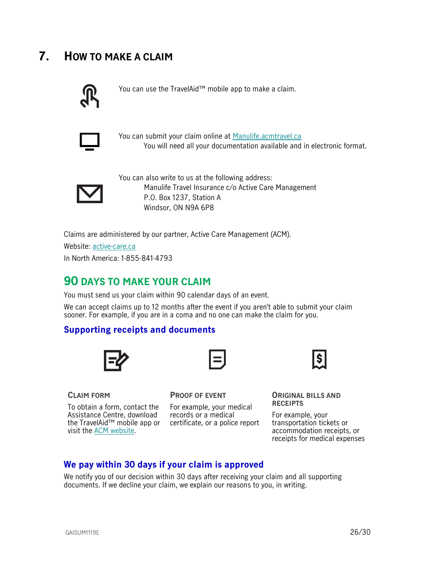## <span id="page-25-0"></span>**7. HOW TO MAKE A CLAIM**



You can use the TravelAid™ mobile app to make a claim.



You can submit your claim online at [Manulife.acmtravel.ca](https://manulife.acmtravel.ca/accounts/login/) You will need all your documentation available and in electronic format.



You can also write to us at the following address: Manulife Travel Insurance c/o Active Care Management P.O. Box 1237, Station A Windsor, ON N9A 6P8

Claims are administered by our partner, Active Care Management (ACM).

Website: [active-care.ca](http://www.active-care.ca/)

In North America: 1-855-841-4793

## <span id="page-25-1"></span>**90 DAYS TO MAKE YOUR CLAIM**

You must send us your claim within 90 calendar days of an event.

We can accept claims up to 12 months after the event if you aren't able to submit your claim sooner. For example, if you are in a coma and no one can make the claim for you.

## <span id="page-25-2"></span>**Supporting receipts and documents**





**CLAIM FORM**

To obtain a form, contact the Assistance Centre, download the TravelAid™ mobile app or certificate, or a police report visit the [ACM website.](https://www.active-care.ca/claims/)

#### **PROOF OF EVENT**

For example, your medical records or a medical



**ORIGINAL BILLS AND RECEIPTS** 

For example, your transportation tickets or accommodation receipts, or receipts for medical expenses

## <span id="page-25-3"></span>**We pay within 30 days if your claim is approved**

We notify you of our decision within 30 days after receiving your claim and all supporting documents. If we decline your claim, we explain our reasons to you, in writing.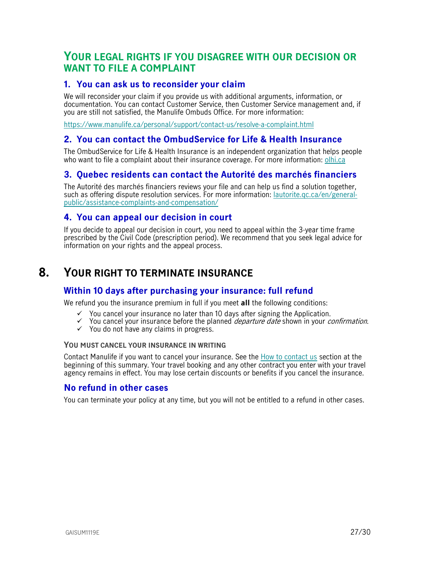## <span id="page-26-1"></span>**YOUR LEGAL RIGHTS IF YOU DISAGREE WITH OUR DECISION OR WANT TO FILE A COMPLAINT**

## <span id="page-26-2"></span>**1. You can ask us to reconsider your claim**

We will reconsider your claim if you provide us with additional arguments, information, or documentation. You can contact Customer Service, then Customer Service management and, if you are still not satisfied, the Manulife Ombuds Office. For more information:

<https://www.manulife.ca/personal/support/contact-us/resolve-a-complaint.html>

## <span id="page-26-3"></span>**2. You can contact the OmbudService for Life & Health Insurance**

The OmbudService for Life & Health Insurance is an independent organization that helps people who want to file a complaint about their insurance coverage. For more information: [olhi.ca](http://www.olhi.ca/)

## <span id="page-26-4"></span>**3. Quebec residents can contact the Autorité des marchés financiers**

The Autorité des marchés financiers reviews your file and can help us find a solution together, such as offering dispute resolution services. For more information: [lautorite.qc.ca/en/general](https://lautorite.qc.ca/en/general-public/assistance-and-complaints/)[public/assistance-complaints-and-compensation/](https://lautorite.qc.ca/en/general-public/assistance-and-complaints/)

## <span id="page-26-5"></span>**4. You can appeal our decision in court**

<span id="page-26-0"></span>If you decide to appeal our decision in court, you need to appeal within the 3-year time frame prescribed by the Civil Code (prescription period). We recommend that you seek legal advice for information on your rights and the appeal process.

## **8. YOUR RIGHT TO TERMINATE INSURANCE**

## <span id="page-26-6"></span>**Within 10 days after purchasing your insurance: full refund**

We refund you the insurance premium in full if you meet **all** the following conditions:

- $\checkmark$  You cancel your insurance no later than 10 days after signing the Application.
- $\checkmark$  You cancel your insurance before the planned *departure date* shown in your *confirmation*.
- $\checkmark$  You do not have any claims in progress.

#### **YOU MUST CANCEL YOUR INSURANCE IN WRITING**

Contact Manulife if you want to cancel your insurance. See the [How to contact us](#page-1-0) section at the beginning of this summary. Your travel booking and any other contract you enter with your travel agency remains in effect. You may lose certain discounts or benefits if you cancel the insurance.

## <span id="page-26-7"></span>**No refund in other cases**

You can terminate your policy at any time, but you will not be entitled to a refund in other cases.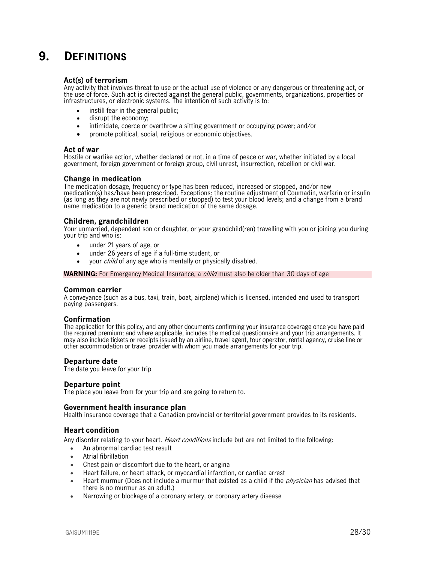## <span id="page-27-0"></span>**9. DEFINITIONS**

#### **Act(s) of terrorism**

Any activity that involves threat to use or the actual use of violence or any dangerous or threatening act, or the use of force. Such act is directed against the general public, governments, organizations, properties or infrastructures, or electronic systems. The intention of such activity is to:

- instill fear in the general public:
- disrupt the economy;
- intimidate, coerce or overthrow a sitting government or occupying power; and/or
- promote political, social, religious or economic objectives.

#### **Act of war**

Hostile or warlike action, whether declared or not, in a time of peace or war, whether initiated by a local government, foreign government or foreign group, civil unrest, insurrection, rebellion or civil war.

#### **Change in medication**

The medication dosage, frequency or type has been reduced, increased or stopped, and/or new medication(s) has/have been prescribed. Exceptions: the routine adjustment of Coumadin, warfarin or insulin (as long as they are not newly prescribed or stopped) to test your blood levels; and a change from a brand name medication to a generic brand medication of the same dosage.

#### **Children, grandchildren**

Your unmarried, dependent son or daughter, or your grandchild(ren) travelling with you or joining you during your trip and who is:

- under 21 years of age, or
- under 26 years of age if a full-time student, or
- your *child* of any age who is mentally or physically disabled.

**WARNING:** For Emergency Medical Insurance, a *child* must also be older than 30 days of age

#### **Common carrier**

A conveyance (such as a bus, taxi, train, boat, airplane) which is licensed, intended and used to transport paying passengers.

#### **Confirmation**

The application for this policy, and any other documents confirming your insurance coverage once you have paid the required premium; and where applicable, includes the medical questionnaire and your trip arrangements. It may also include tickets or receipts issued by an airline, travel agent, tour operator, rental agency, cruise line or other accommodation or travel provider with whom you made arrangements for your trip.

#### **Departure date**

The date you leave for your trip

#### **Departure point**

The place you leave from for your trip and are going to return to.

#### **Government health insurance plan**

Health insurance coverage that a Canadian provincial or territorial government provides to its residents.

#### **Heart condition**

Any disorder relating to your heart. *Heart conditions* include but are not limited to the following:

- An abnormal cardiac test result
- Atrial fibrillation
- Chest pain or discomfort due to the heart, or angina
- Heart failure, or heart attack, or myocardial infarction, or cardiac arrest
- Heart murmur (Does not include a murmur that existed as a child if the *physician* has advised that there is no murmur as an adult.)
- Narrowing or blockage of a coronary artery, or coronary artery disease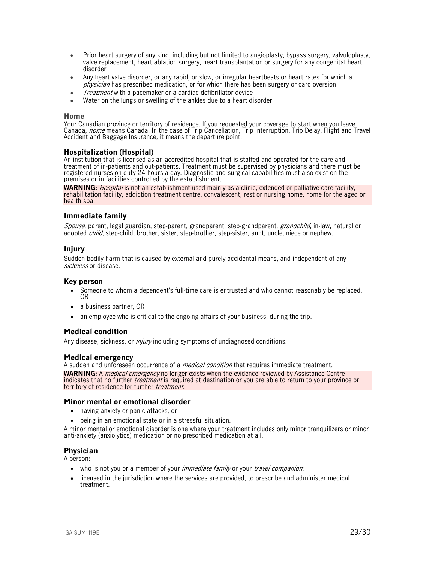- Prior heart surgery of any kind, including but not limited to angioplasty, bypass surgery, valvuloplasty, valve replacement, heart ablation surgery, heart transplantation or surgery for any congenital heart disorder
- Any heart valve disorder, or any rapid, or slow, or irregular heartbeats or heart rates for which a physician has prescribed medication, or for which there has been surgery or cardioversion
- *Treatment* with a pacemaker or a cardiac defibrillator device
- Water on the lungs or swelling of the ankles due to a heart disorder

#### **Home**

Your Canadian province or territory of residence. If you requested your coverage to start when you leave Canada, *home* means Canada. In the case of Trip Cancellation, Trip Interruption, Trip Delay, Flight and Travel Accident and Baggage Insurance, it means the departure point.

#### **Hospitalization (Hospital)**

An institution that is licensed as an accredited hospital that is staffed and operated for the care and treatment of in-patients and out-patients. Treatment must be supervised by physicians and there must be registered nurses on duty 24 hours a day. Diagnostic and surgical capabilities must also exist on the premises or in facilities controlled by the establishment.

WARNING: *Hospital* is not an establishment used mainly as a clinic, extended or palliative care facility, rehabilitation facility, addiction treatment centre, convalescent, rest or nursing home, home for the aged or health spa.

#### **Immediate family**

Spouse, parent, legal guardian, step-parent, grandparent, step-grandparent, grandchild, in-law, natural or adopted *child*, step-child, brother, sister, step-brother, step-sister, aunt, uncle, niece or nephew.

#### **Injury**

Sudden bodily harm that is caused by external and purely accidental means, and independent of any sickness or disease.

#### **Key person**

- Someone to whom a dependent's full-time care is entrusted and who cannot reasonably be replaced, OR
- a business partner, OR
- an employee who is critical to the ongoing affairs of your business, during the trip.

#### **Medical condition**

Any disease, sickness, or *injury* including symptoms of undiagnosed conditions.

#### **Medical emergency**

A sudden and unforeseen occurrence of a *medical condition* that requires immediate treatment.

**WARNING:** A medical emergency no longer exists when the evidence reviewed by Assistance Centre indicates that no further *treatment* is required at destination or you are able to return to your province or territory of residence for further treatment.

#### **Minor mental or emotional disorder**

- having anxiety or panic attacks, or
- being in an emotional state or in a stressful situation.

A minor mental or emotional disorder is one where your treatment includes only minor tranquilizers or minor anti-anxiety (anxiolytics) medication or no prescribed medication at all.

#### **Physician**

A person:

- who is not you or a member of your *immediate family* or your *travel companion*;
- licensed in the jurisdiction where the services are provided, to prescribe and administer medical treatment.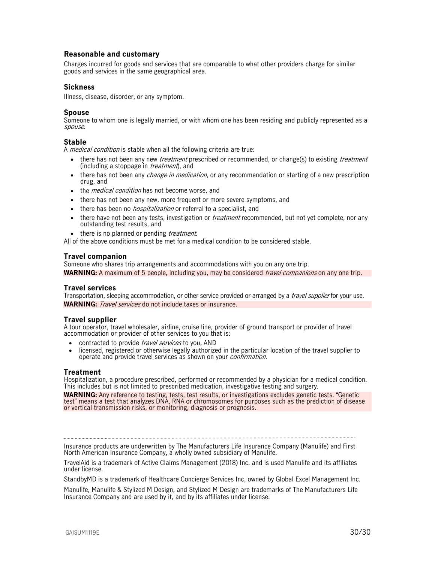#### **Reasonable and customary**

Charges incurred for goods and services that are comparable to what other providers charge for similar goods and services in the same geographical area.

#### **Sickness**

Illness, disease, disorder, or any symptom.

#### **Spouse**

Someone to whom one is legally married, or with whom one has been residing and publicly represented as a spouse.

#### **Stable**

A *medical condition* is stable when all the following criteria are true:

- there has not been any new *treatment* prescribed or recommended, or change(s) to existing *treatment* (including a stoppage in *treatment*), and
- there has not been any *change in medication*, or any recommendation or starting of a new prescription drug, and
- the *medical condition* has not become worse, and
- there has not been any new, more frequent or more severe symptoms, and
- there has been no *hospitalization* or referral to a specialist, and
- there have not been any tests, investigation or *treatment* recommended, but not yet complete, nor any outstanding test results, and
- there is no planned or pending *treatment*.

All of the above conditions must be met for a medical condition to be considered stable.

#### **Travel companion**

Someone who shares trip arrangements and accommodations with you on any one trip. **WARNING:** A maximum of 5 people, including you, may be considered *travel companions* on any one trip.

#### **Travel services**

Transportation, sleeping accommodation, or other service provided or arranged by a *travel supplier* for your use. **WARNING:** Travel services do not include taxes or insurance.

#### **Travel supplier**

A tour operator, travel wholesaler, airline, cruise line, provider of ground transport or provider of travel accommodation or provider of other services to you that is:

- contracted to provide *travel services* to you, AND
- licensed, registered or otherwise legally authorized in the particular location of the travel supplier to operate and provide travel services as shown on your confirmation.

#### **Treatment**

Hospitalization, a procedure prescribed, performed or recommended by a physician for a medical condition. This includes but is not limited to prescribed medication, investigative testing and surgery.

**WARNING:** Any reference to testing, tests, test results, or investigations excludes genetic tests. "Genetic test" means a test that analyzes DNA, RNA or chromosomes for purposes such as the prediction of disease or vertical transmission risks, or monitoring, diagnosis or prognosis.

Insurance products are underwritten by The Manufacturers Life Insurance Company (Manulife) and First North American Insurance Company, a wholly owned subsidiary of Manulife.

TravelAid is a trademark of Active Claims Management (2018) Inc. and is used Manulife and its affiliates under license.

StandbyMD is a trademark of Healthcare Concierge Services Inc, owned by Global Excel Management Inc.

Manulife, Manulife & Stylized M Design, and Stylized M Design are trademarks of The Manufacturers Life Insurance Company and are used by it, and by its affiliates under license.